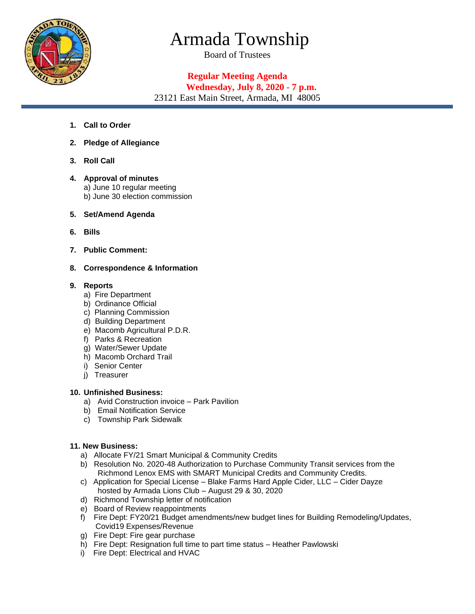

# Armada Township

Board of Trustees

## **Regular Meeting Agenda Wednesday, July 8, 2020 - 7 p.m.**

23121 East Main Street, Armada, MI 48005

- **1. Call to Order**
- **2. Pledge of Allegiance**
- **3. Roll Call**
- **4. Approval of minutes**  a) June 10 regular meeting b) June 30 election commission
- **5. Set/Amend Agenda**
- **6. Bills**
- **7. Public Comment:**
- **8. Correspondence & Information**

### **9. Reports**

- a) Fire Department
- b) Ordinance Official
- c) Planning Commission
- d) Building Department
- e) Macomb Agricultural P.D.R.
- f) Parks & Recreation
- g) Water/Sewer Update
- h) Macomb Orchard Trail
- i) Senior Center
- j) Treasurer

#### **10. Unfinished Business:**

- a) Avid Construction invoice Park Pavilion
- b) Email Notification Service
- c) Township Park Sidewalk

### **11. New Business:**

- a) Allocate FY/21 Smart Municipal & Community Credits
- b) Resolution No. 2020-48 Authorization to Purchase Community Transit services from the Richmond Lenox EMS with SMART Municipal Credits and Community Credits.
- c) Application for Special License Blake Farms Hard Apple Cider, LLC Cider Dayze hosted by Armada Lions Club – August 29 & 30, 2020
- d) Richmond Township letter of notification
- e) Board of Review reappointments
- f) Fire Dept: FY20/21 Budget amendments/new budget lines for Building Remodeling/Updates, Covid19 Expenses/Revenue
- g) Fire Dept: Fire gear purchase
- h) Fire Dept: Resignation full time to part time status Heather Pawlowski
- i) Fire Dept: Electrical and HVAC